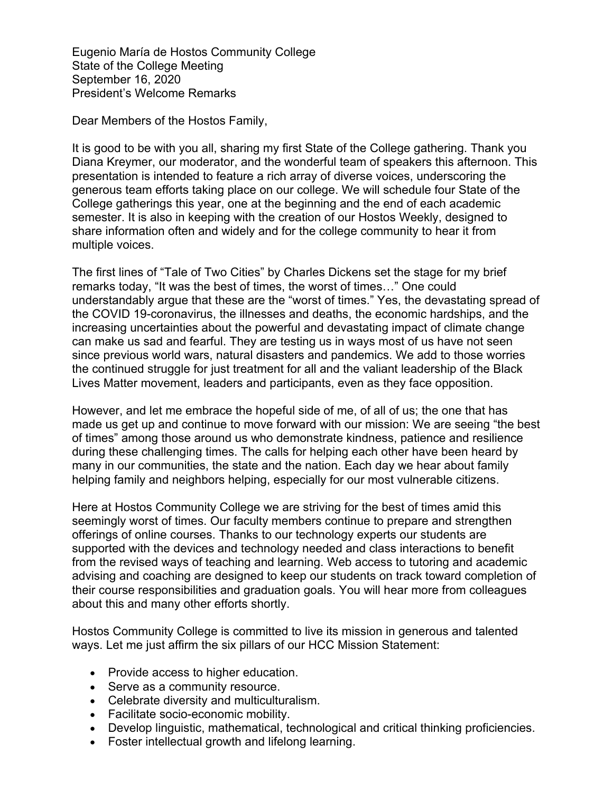Eugenio María de Hostos Community College State of the College Meeting September 16, 2020 President's Welcome Remarks

Dear Members of the Hostos Family,

It is good to be with you all, sharing my first State of the College gathering. Thank you Diana Kreymer, our moderator, and the wonderful team of speakers this afternoon. This presentation is intended to feature a rich array of diverse voices, underscoring the generous team efforts taking place on our college. We will schedule four State of the College gatherings this year, one at the beginning and the end of each academic semester. It is also in keeping with the creation of our Hostos Weekly, designed to share information often and widely and for the college community to hear it from multiple voices.

The first lines of "Tale of Two Cities" by Charles Dickens set the stage for my brief remarks today, "It was the best of times, the worst of times…" One could understandably argue that these are the "worst of times." Yes, the devastating spread of the COVID 19-coronavirus, the illnesses and deaths, the economic hardships, and the increasing uncertainties about the powerful and devastating impact of climate change can make us sad and fearful. They are testing us in ways most of us have not seen since previous world wars, natural disasters and pandemics. We add to those worries the continued struggle for just treatment for all and the valiant leadership of the Black Lives Matter movement, leaders and participants, even as they face opposition.

However, and let me embrace the hopeful side of me, of all of us; the one that has made us get up and continue to move forward with our mission: We are seeing "the best of times" among those around us who demonstrate kindness, patience and resilience during these challenging times. The calls for helping each other have been heard by many in our communities, the state and the nation. Each day we hear about family helping family and neighbors helping, especially for our most vulnerable citizens.

Here at Hostos Community College we are striving for the best of times amid this seemingly worst of times. Our faculty members continue to prepare and strengthen offerings of online courses. Thanks to our technology experts our students are supported with the devices and technology needed and class interactions to benefit from the revised ways of teaching and learning. Web access to tutoring and academic advising and coaching are designed to keep our students on track toward completion of their course responsibilities and graduation goals. You will hear more from colleagues about this and many other efforts shortly.

Hostos Community College is committed to live its mission in generous and talented ways. Let me just affirm the six pillars of our HCC Mission Statement:

- Provide access to higher education.
- Serve as a community resource.
- Celebrate diversity and multiculturalism.
- Facilitate socio-economic mobility.
- Develop linguistic, mathematical, technological and critical thinking proficiencies.
- Foster intellectual growth and lifelong learning.